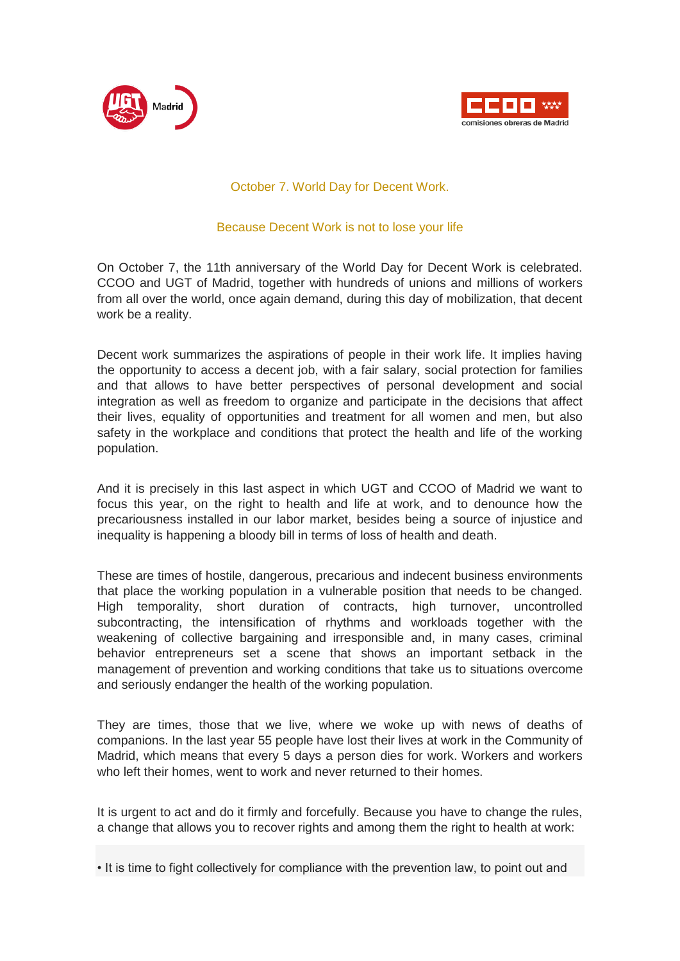



## October 7. World Day for Decent Work.

## Because Decent Work is not to lose your life

On October 7, the 11th anniversary of the World Day for Decent Work is celebrated. CCOO and UGT of Madrid, together with hundreds of unions and millions of workers from all over the world, once again demand, during this day of mobilization, that decent work be a reality.

Decent work summarizes the aspirations of people in their work life. It implies having the opportunity to access a decent job, with a fair salary, social protection for families and that allows to have better perspectives of personal development and social integration as well as freedom to organize and participate in the decisions that affect their lives, equality of opportunities and treatment for all women and men, but also safety in the workplace and conditions that protect the health and life of the working population.

And it is precisely in this last aspect in which UGT and CCOO of Madrid we want to focus this year, on the right to health and life at work, and to denounce how the precariousness installed in our labor market, besides being a source of injustice and inequality is happening a bloody bill in terms of loss of health and death.

These are times of hostile, dangerous, precarious and indecent business environments that place the working population in a vulnerable position that needs to be changed. High temporality, short duration of contracts, high turnover, uncontrolled subcontracting, the intensification of rhythms and workloads together with the weakening of collective bargaining and irresponsible and, in many cases, criminal behavior entrepreneurs set a scene that shows an important setback in the management of prevention and working conditions that take us to situations overcome and seriously endanger the health of the working population.

They are times, those that we live, where we woke up with news of deaths of companions. In the last year 55 people have lost their lives at work in the Community of Madrid, which means that every 5 days a person dies for work. Workers and workers who left their homes, went to work and never returned to their homes.

It is urgent to act and do it firmly and forcefully. Because you have to change the rules, a change that allows you to recover rights and among them the right to health at work:

• It is time to fight collectively for compliance with the prevention law, to point out and